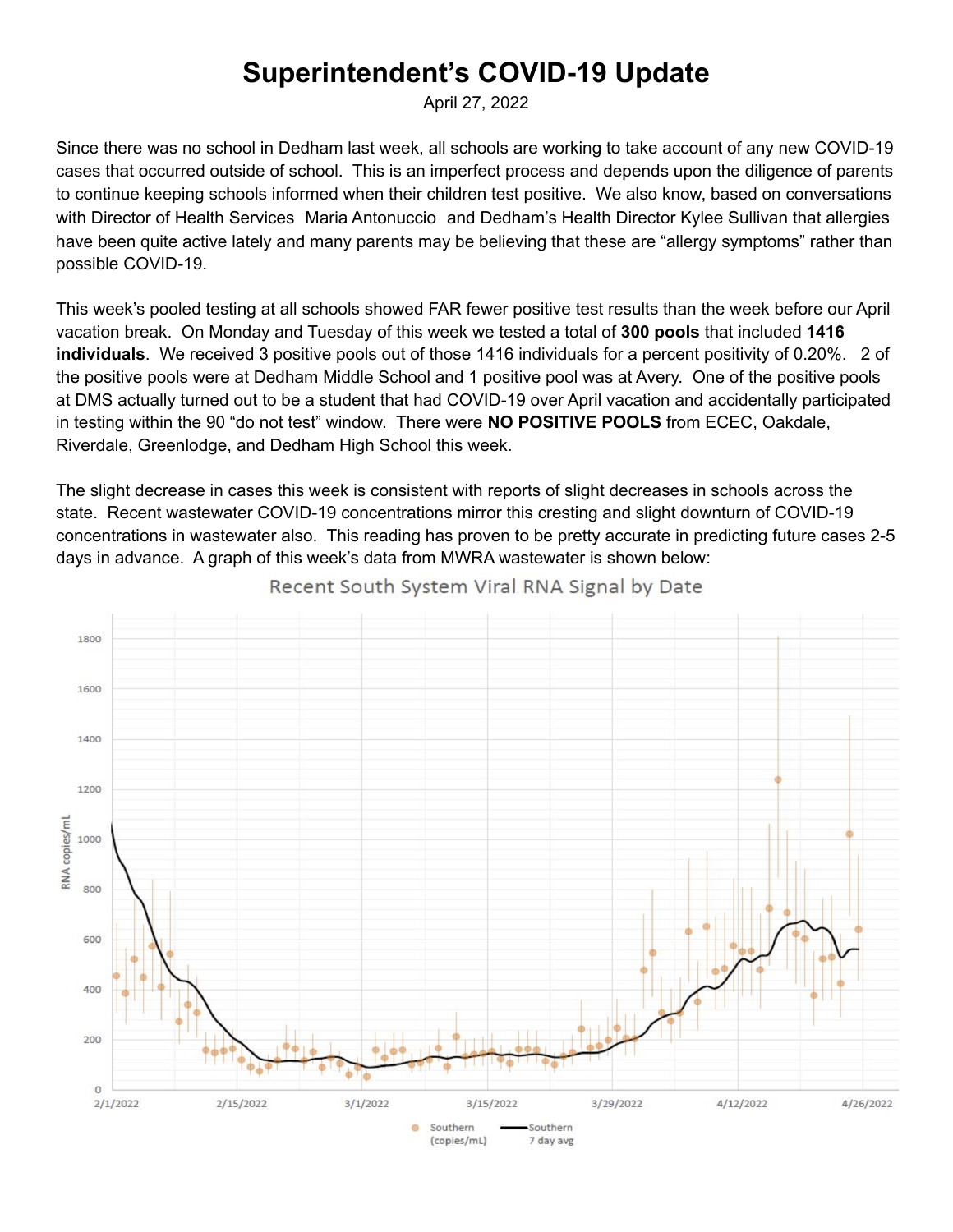## **Superintendent's COVID-19 Update**

April 27, 2022

Since there was no school in Dedham last week, all schools are working to take account of any new COVID-19 cases that occurred outside of school. This is an imperfect process and depends upon the diligence of parents to continue keeping schools informed when their children test positive. We also know, based on conversations with Director of Health Services Maria [Antonuccio](mailto:mantonuccio@dedham.k12.ma.us) and Dedham's Health Director Kylee Sullivan that allergies have been quite active lately and many parents may be believing that these are "allergy symptoms" rather than possible COVID-19.

This week's pooled testing at all schools showed FAR fewer positive test results than the week before our April vacation break. On Monday and Tuesday of this week we tested a total of **300 pools** that included **1416 individuals**. We received 3 positive pools out of those 1416 individuals for a percent positivity of 0.20%. 2 of the positive pools were at Dedham Middle School and 1 positive pool was at Avery. One of the positive pools at DMS actually turned out to be a student that had COVID-19 over April vacation and accidentally participated in testing within the 90 "do not test" window. There were **NO POSITIVE POOLS** from ECEC, Oakdale, Riverdale, Greenlodge, and Dedham High School this week.

The slight decrease in cases this week is consistent with reports of slight decreases in schools across the state. Recent wastewater COVID-19 concentrations mirror this cresting and slight downturn of COVID-19 concentrations in wastewater also. This reading has proven to be pretty accurate in predicting future cases 2-5 days in advance. A graph of this week's data from MWRA wastewater is shown below:



Recent South System Viral RNA Signal by Date